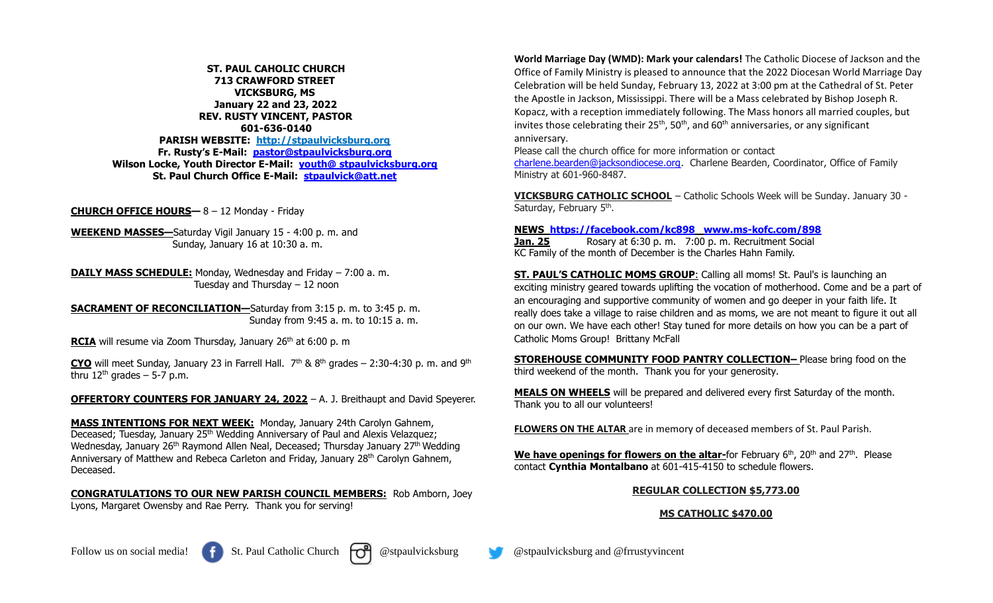**ST. PAUL CAHOLIC CHURCH 713 CRAWFORD STREET VICKSBURG, MS January 22 and 23, 2022 REV. RUSTY VINCENT, PASTOR 601-636-0140 PARISH WEBSITE: http://stpaulvicksburg.org Fr. Rusty's E-Mail: [pastor@stpaulvicksburg.org](mailto:pastor@stpaulvicksburg.org) Wilson Locke, Youth Director E-Mail: youth@ [stpaulvicksburg.org](mailto:youth@stpaulvicksburg.org) St. Paul Church Office E-Mail: [stpaulvick@att.net](mailto:stpaulvick@att.net)**

**CHURCH OFFICE HOURS—** 8 – 12 Monday - Friday

**WEEKEND MASSES—**Saturday Vigil January 15 - 4:00 p. m. and Sunday, January 16 at 10:30 a. m.

**DAILY MASS SCHEDULE:** Monday, Wednesday and Friday – 7:00 a. m. Tuesday and Thursday – 12 noon

**SACRAMENT OF RECONCILIATION—**Saturday from 3:15 p. m. to 3:45 p. m. Sunday from 9:45 a. m. to 10:15 a. m.

**RCIA** will resume via Zoom Thursday, January 26<sup>th</sup> at 6:00 p. m

**CYO** will meet Sunday, January 23 in Farrell Hall.  $7<sup>th</sup>$  &  $8<sup>th</sup>$  grades – 2:30-4:30 p. m. and 9<sup>th</sup> thru  $12<sup>th</sup>$  grades – 5-7 p.m.

**OFFERTORY COUNTERS FOR JANUARY 24, 2022** – A. J. Breithaupt and David Speyerer.

**MASS INTENTIONS FOR NEXT WEEK:** Monday, January 24th Carolyn Gahnem, Deceased; Tuesday, January 25<sup>th</sup> Wedding Anniversary of Paul and Alexis Velazquez; Wednesday, January 26<sup>th</sup> Raymond Allen Neal, Deceased; Thursday January 27<sup>th</sup> Wedding Anniversary of Matthew and Rebeca Carleton and Friday, January 28<sup>th</sup> Carolyn Gahnem, Deceased.

**CONGRATULATIONS TO OUR NEW PARISH COUNCIL MEMBERS:** Rob Amborn, Joey Lyons, Margaret Owensby and Rae Perry. Thank you for serving!

**World Marriage Day (WMD): Mark your calendars!** The Catholic Diocese of Jackson and the Office of Family Ministry is pleased to announce that the 2022 Diocesan World Marriage Day Celebration will be held Sunday, February 13, 2022 at 3:00 pm at the Cathedral of St. Peter the Apostle in Jackson, Mississippi. There will be a Mass celebrated by Bishop Joseph R. Kopacz, with a reception immediately following. The Mass honors all married couples, but invites those celebrating their  $25<sup>th</sup>$ , 50<sup>th</sup>, and 60<sup>th</sup> anniversaries, or any significant anniversary.

Please call the church office for more information or contact

[charlene.bearden@jacksondiocese.org.](mailto:charlene.bearden@jacksondiocese.org) Charlene Bearden, Coordinator, Office of Family Ministry at 601-960-8487.

**VICKSBURG CATHOLIC SCHOOL** – Catholic Schools Week will be Sunday. January 30 - Saturday, February 5<sup>th</sup>.

## **NEWS <https://facebook.com/kc898> [www.ms-kofc.com/898](http://www.ms-kofc.com/898)**

**Jan. 25** Rosary at 6:30 p. m. 7:00 p. m. Recruitment Social KC Family of the month of December is the Charles Hahn Family.

**ST. PAUL'S CATHOLIC MOMS GROUP**: Calling all moms! St. Paul's is launching an exciting ministry geared towards uplifting the vocation of motherhood. Come and be a part of an encouraging and supportive community of women and go deeper in your faith life. It really does take a village to raise children and as moms, we are not meant to figure it out all on our own. We have each other! Stay tuned for more details on how you can be a part of Catholic Moms Group! Brittany McFall

**STOREHOUSE COMMUNITY FOOD PANTRY COLLECTION–** Please bring food on the third weekend of the month. Thank you for your generosity.

**MEALS ON WHEELS** will be prepared and delivered every first Saturday of the month. Thank you to all our volunteers!

**FLOWERS ON THE ALTAR** are in memory of deceased members of St. Paul Parish.

**We have openings for flowers on the altar-**for February 6 th , 20th and 27th . Please contact **Cynthia Montalbano** at 601-415-4150 to schedule flowers.

## **REGULAR COLLECTION \$5,773.00**

## **MS CATHOLIC \$470.00**